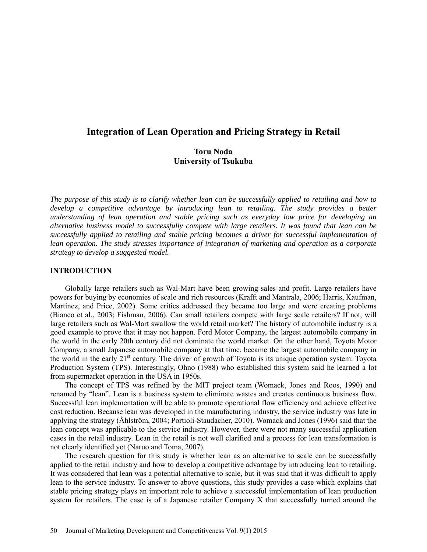# **Integration of Lean Operation and Pricing Strategy in Retail**

## **Toru Noda University of Tsukuba**

*The purpose of this study is to clarify whether lean can be successfully applied to retailing and how to develop a competitive advantage by introducing lean to retailing. The study provides a better understanding of lean operation and stable pricing such as everyday low price for developing an alternative business model to successfully compete with large retailers. It was found that lean can be successfully applied to retailing and stable pricing becomes a driver for successful implementation of lean operation. The study stresses importance of integration of marketing and operation as a corporate strategy to develop a suggested model.* 

## **INTRODUCTION**

Globally large retailers such as Wal-Mart have been growing sales and profit. Large retailers have powers for buying by economies of scale and rich resources (Krafft and Mantrala, 2006; Harris, Kaufman, Martinez, and Price, 2002). Some critics addressed they became too large and were creating problems (Bianco et al., 2003; Fishman, 2006). Can small retailers compete with large scale retailers? If not, will large retailers such as Wal-Mart swallow the world retail market? The history of automobile industry is a good example to prove that it may not happen. Ford Motor Company, the largest automobile company in the world in the early 20th century did not dominate the world market. On the other hand, Toyota Motor Company, a small Japanese automobile company at that time, became the largest automobile company in the world in the early 21<sup>st</sup> century. The driver of growth of Toyota is its unique operation system: Toyota Production System (TPS). Interestingly, Ohno (1988) who established this system said he learned a lot from supermarket operation in the USA in 1950s.

The concept of TPS was refined by the MIT project team (Womack, Jones and Roos, 1990) and renamed by "lean". Lean is a business system to eliminate wastes and creates continuous business flow. Successful lean implementation will be able to promote operational flow efficiency and achieve effective cost reduction. Because lean was developed in the manufacturing industry, the service industry was late in applying the strategy (Åhlström, 2004; Portioli-Staudacher, 2010). Womack and Jones (1996) said that the lean concept was applicable to the service industry. However, there were not many successful application cases in the retail industry. Lean in the retail is not well clarified and a process for lean transformation is not clearly identified yet (Naruo and Toma, 2007).

The research question for this study is whether lean as an alternative to scale can be successfully applied to the retail industry and how to develop a competitive advantage by introducing lean to retailing. It was considered that lean was a potential alternative to scale, but it was said that it was difficult to apply lean to the service industry. To answer to above questions, this study provides a case which explains that stable pricing strategy plays an important role to achieve a successful implementation of lean production system for retailers. The case is of a Japanese retailer Company X that successfully turned around the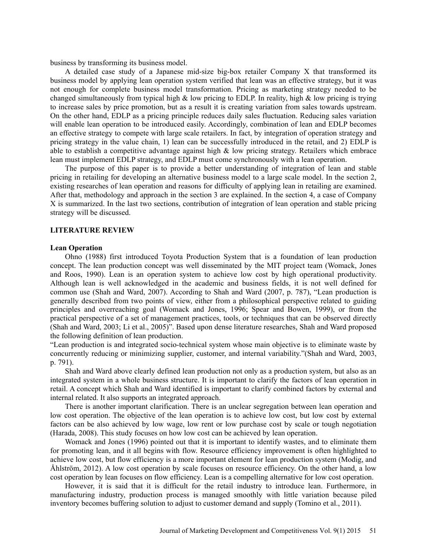business by transforming its business model.

A detailed case study of a Japanese mid-size big-box retailer Company X that transformed its business model by applying lean operation system verified that lean was an effective strategy, but it was not enough for complete business model transformation. Pricing as marketing strategy needed to be changed simultaneously from typical high  $\&$  low pricing to EDLP. In reality, high  $\&$  low pricing is trying to increase sales by price promotion, but as a result it is creating variation from sales towards upstream. On the other hand, EDLP as a pricing principle reduces daily sales fluctuation. Reducing sales variation will enable lean operation to be introduced easily. Accordingly, combination of lean and EDLP becomes an effective strategy to compete with large scale retailers. In fact, by integration of operation strategy and pricing strategy in the value chain, 1) lean can be successfully introduced in the retail, and 2) EDLP is able to establish a competitive advantage against high  $\&$  low pricing strategy. Retailers which embrace lean must implement EDLP strategy, and EDLP must come synchronously with a lean operation.

The purpose of this paper is to provide a better understanding of integration of lean and stable pricing in retailing for developing an alternative business model to a large scale model. In the section 2, existing researches of lean operation and reasons for difficulty of applying lean in retailing are examined. After that, methodology and approach in the section 3 are explained. In the section 4, a case of Company X is summarized. In the last two sections, contribution of integration of lean operation and stable pricing strategy will be discussed.

#### **LITERATURE REVIEW**

#### **Lean Operation**

Ohno (1988) first introduced Toyota Production System that is a foundation of lean production concept. The lean production concept was well disseminated by the MIT project team (Womack, Jones and Roos, 1990). Lean is an operation system to achieve low cost by high operational productivity. Although lean is well acknowledged in the academic and business fields, it is not well defined for common use (Shah and Ward, 2007). According to Shah and Ward (2007, p. 787), "Lean production is generally described from two points of view, either from a philosophical perspective related to guiding principles and overreaching goal (Womack and Jones, 1996; Spear and Bowen, 1999), or from the practical perspective of a set of management practices, tools, or techniques that can be observed directly (Shah and Ward, 2003; Li et al., 2005)". Based upon dense literature researches, Shah and Ward proposed the following definition of lean production.

"Lean production is and integrated socio-technical system whose main objective is to eliminate waste by concurrently reducing or minimizing supplier, customer, and internal variability."(Shah and Ward, 2003, p. 791).

Shah and Ward above clearly defined lean production not only as a production system, but also as an integrated system in a whole business structure. It is important to clarify the factors of lean operation in retail. A concept which Shah and Ward identified is important to clarify combined factors by external and internal related. It also supports an integrated approach.

There is another important clarification. There is an unclear segregation between lean operation and low cost operation. The objective of the lean operation is to achieve low cost, but low cost by external factors can be also achieved by low wage, low rent or low purchase cost by scale or tough negotiation (Harada, 2008). This study focuses on how low cost can be achieved by lean operation.

Womack and Jones (1996) pointed out that it is important to identify wastes, and to eliminate them for promoting lean, and it all begins with flow. Resource efficiency improvement is often highlighted to achieve low cost, but flow efficiency is a more important element for lean production system (Modig, and Åhlström, 2012). A low cost operation by scale focuses on resource efficiency. On the other hand, a low cost operation by lean focuses on flow efficiency. Lean is a compelling alternative for low cost operation.

However, it is said that it is difficult for the retail industry to introduce lean. Furthermore, in manufacturing industry, production process is managed smoothly with little variation because piled inventory becomes buffering solution to adjust to customer demand and supply (Tomino et al., 2011).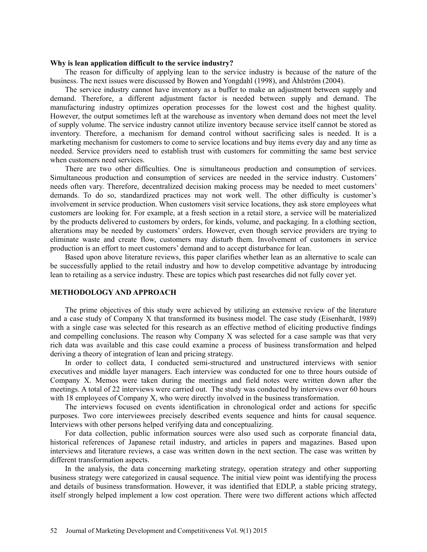#### **Why is lean application difficult to the service industry?**

The reason for difficulty of applying lean to the service industry is because of the nature of the business. The next issues were discussed by Bowen and Yongdahl (1998), and Åhlström (2004).

The service industry cannot have inventory as a buffer to make an adjustment between supply and demand. Therefore, a different adjustment factor is needed between supply and demand. The manufacturing industry optimizes operation processes for the lowest cost and the highest quality. However, the output sometimes left at the warehouse as inventory when demand does not meet the level of supply volume. The service industry cannot utilize inventory because service itself cannot be stored as inventory. Therefore, a mechanism for demand control without sacrificing sales is needed. It is a marketing mechanism for customers to come to service locations and buy items every day and any time as needed. Service providers need to establish trust with customers for committing the same best service when customers need services.

There are two other difficulties. One is simultaneous production and consumption of services. Simultaneous production and consumption of services are needed in the service industry. Customers' needs often vary. Therefore, decentralized decision making process may be needed to meet customers' demands. To do so, standardized practices may not work well. The other difficulty is customer's involvement in service production. When customers visit service locations, they ask store employees what customers are looking for. For example, at a fresh section in a retail store, a service will be materialized by the products delivered to customers by orders, for kinds, volume, and packaging. In a clothing section, alterations may be needed by customers' orders. However, even though service providers are trying to eliminate waste and create flow, customers may disturb them. Involvement of customers in service production is an effort to meet customers' demand and to accept disturbance for lean.

Based upon above literature reviews, this paper clarifies whether lean as an alternative to scale can be successfully applied to the retail industry and how to develop competitive advantage by introducing lean to retailing as a service industry. These are topics which past researches did not fully cover yet.

## **METHODOLOGY AND APPROACH**

The prime objectives of this study were achieved by utilizing an extensive review of the literature and a case study of Company X that transformed its business model. The case study (Eisenhardt, 1989) with a single case was selected for this research as an effective method of eliciting productive findings and compelling conclusions. The reason why Company X was selected for a case sample was that very rich data was available and this case could examine a process of business transformation and helped deriving a theory of integration of lean and pricing strategy.

In order to collect data, I conducted semi-structured and unstructured interviews with senior executives and middle layer managers. Each interview was conducted for one to three hours outside of Company X. Memos were taken during the meetings and field notes were written down after the meetings. A total of 22 interviews were carried out. The study was conducted by interviews over 60 hours with 18 employees of Company X, who were directly involved in the business transformation.

The interviews focused on events identification in chronological order and actions for specific purposes. Two core interviewees precisely described events sequence and hints for causal sequence. Interviews with other persons helped verifying data and conceptualizing.

For data collection, public information sources were also used such as corporate financial data, historical references of Japanese retail industry, and articles in papers and magazines. Based upon interviews and literature reviews, a case was written down in the next section. The case was written by different transformation aspects.

In the analysis, the data concerning marketing strategy, operation strategy and other supporting business strategy were categorized in causal sequence. The initial view point was identifying the process and details of business transformation. However, it was identified that EDLP, a stable pricing strategy, itself strongly helped implement a low cost operation. There were two different actions which affected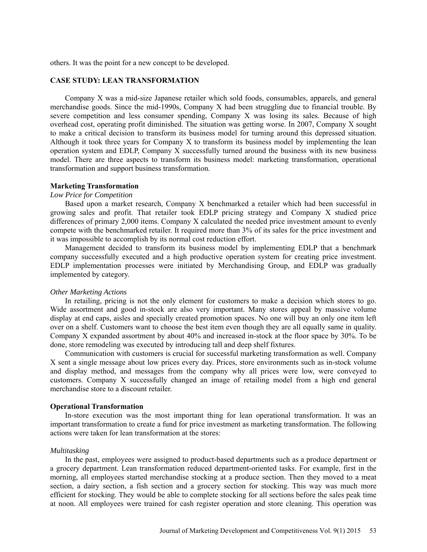others. It was the point for a new concept to be developed.

## **CASE STUDY: LEAN TRANSFORMATION**

Company X was a mid-size Japanese retailer which sold foods, consumables, apparels, and general merchandise goods. Since the mid-1990s, Company X had been struggling due to financial trouble. By severe competition and less consumer spending, Company X was losing its sales. Because of high overhead cost, operating profit diminished. The situation was getting worse. In 2007, Company X sought to make a critical decision to transform its business model for turning around this depressed situation. Although it took three years for Company X to transform its business model by implementing the lean operation system and EDLP, Company X successfully turned around the business with its new business model. There are three aspects to transform its business model: marketing transformation, operational transformation and support business transformation.

## **Marketing Transformation**

## *Low Price for Competition*

Based upon a market research, Company X benchmarked a retailer which had been successful in growing sales and profit. That retailer took EDLP pricing strategy and Company X studied price differences of primary 2,000 items. Company X calculated the needed price investment amount to evenly compete with the benchmarked retailer. It required more than 3% of its sales for the price investment and it was impossible to accomplish by its normal cost reduction effort.

Management decided to transform its business model by implementing EDLP that a benchmark company successfully executed and a high productive operation system for creating price investment. EDLP implementation processes were initiated by Merchandising Group, and EDLP was gradually implemented by category.

#### *Other Marketing Actions*

In retailing, pricing is not the only element for customers to make a decision which stores to go. Wide assortment and good in-stock are also very important. Many stores appeal by massive volume display at end caps, aisles and specially created promotion spaces. No one will buy an only one item left over on a shelf. Customers want to choose the best item even though they are all equally same in quality. Company X expanded assortment by about 40% and increased in-stock at the floor space by 30%. To be done, store remodeling was executed by introducing tall and deep shelf fixtures.

Communication with customers is crucial for successful marketing transformation as well. Company X sent a single message about low prices every day. Prices, store environments such as in-stock volume and display method, and messages from the company why all prices were low, were conveyed to customers. Company X successfully changed an image of retailing model from a high end general merchandise store to a discount retailer.

### **Operational Transformation**

In-store execution was the most important thing for lean operational transformation. It was an important transformation to create a fund for price investment as marketing transformation. The following actions were taken for lean transformation at the stores:

#### *Multitasking*

In the past, employees were assigned to product-based departments such as a produce department or a grocery department. Lean transformation reduced department-oriented tasks. For example, first in the morning, all employees started merchandise stocking at a produce section. Then they moved to a meat section, a dairy section, a fish section and a grocery section for stocking. This way was much more efficient for stocking. They would be able to complete stocking for all sections before the sales peak time at noon. All employees were trained for cash register operation and store cleaning. This operation was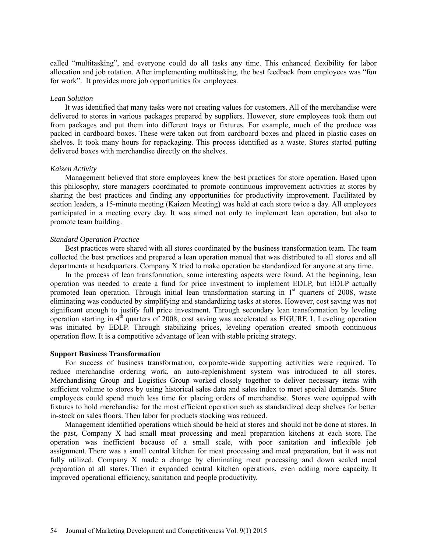called "multitasking", and everyone could do all tasks any time. This enhanced flexibility for labor allocation and job rotation. After implementing multitasking, the best feedback from employees was "fun for work". It provides more job opportunities for employees.

#### *Lean Solution*

It was identified that many tasks were not creating values for customers. All of the merchandise were delivered to stores in various packages prepared by suppliers. However, store employees took them out from packages and put them into different trays or fixtures. For example, much of the produce was packed in cardboard boxes. These were taken out from cardboard boxes and placed in plastic cases on shelves. It took many hours for repackaging. This process identified as a waste. Stores started putting delivered boxes with merchandise directly on the shelves.

#### *Kaizen Activity*

Management believed that store employees knew the best practices for store operation. Based upon this philosophy, store managers coordinated to promote continuous improvement activities at stores by sharing the best practices and finding any opportunities for productivity improvement. Facilitated by section leaders, a 15-minute meeting (Kaizen Meeting) was held at each store twice a day. All employees participated in a meeting every day. It was aimed not only to implement lean operation, but also to promote team building.

#### *Standard Operation Practice*

Best practices were shared with all stores coordinated by the business transformation team. The team collected the best practices and prepared a lean operation manual that was distributed to all stores and all departments at headquarters. Company X tried to make operation be standardized for anyone at any time.

In the process of lean transformation, some interesting aspects were found. At the beginning, lean operation was needed to create a fund for price investment to implement EDLP, but EDLP actually promoted lean operation. Through initial lean transformation starting in 1<sup>st</sup> quarters of 2008, waste eliminating was conducted by simplifying and standardizing tasks at stores. However, cost saving was not significant enough to justify full price investment. Through secondary lean transformation by leveling operation starting in  $4<sup>th</sup>$  quarters of 2008, cost saving was accelerated as FIGURE 1. Leveling operation was initiated by EDLP. Through stabilizing prices, leveling operation created smooth continuous operation flow. It is a competitive advantage of lean with stable pricing strategy.

#### **Support Business Transformation**

For success of business transformation, corporate-wide supporting activities were required. To reduce merchandise ordering work, an auto-replenishment system was introduced to all stores. Merchandising Group and Logistics Group worked closely together to deliver necessary items with sufficient volume to stores by using historical sales data and sales index to meet special demands. Store employees could spend much less time for placing orders of merchandise. Stores were equipped with fixtures to hold merchandise for the most efficient operation such as standardized deep shelves for better in-stock on sales floors. Then labor for products stocking was reduced.

Management identified operations which should be held at stores and should not be done at stores. In the past, Company X had small meat processing and meal preparation kitchens at each store. The operation was inefficient because of a small scale, with poor sanitation and inflexible job assignment. There was a small central kitchen for meat processing and meal preparation, but it was not fully utilized. Company X made a change by eliminating meat processing and down scaled meal preparation at all stores. Then it expanded central kitchen operations, even adding more capacity. It improved operational efficiency, sanitation and people productivity.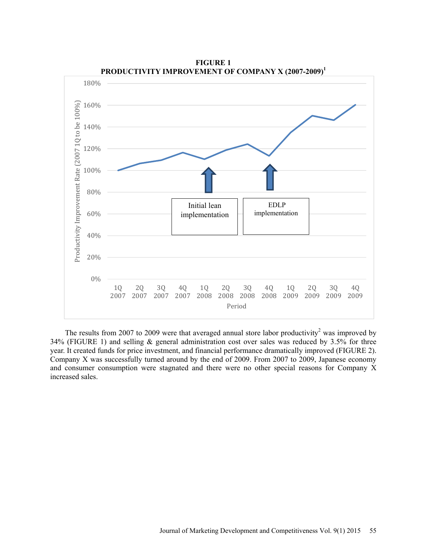

**FIGURE 1**  PRODUCTIVITY IMPROVEMENT OF COMPANY X (2007-2009)<sup>1</sup>

The results from 2007 to 2009 were that averaged annual store labor productivity<sup>2</sup> was improved by 34% (FIGURE 1) and selling & general administration cost over sales was reduced by 3.5% for three year. It created funds for price investment, and financial performance dramatically improved (FIGURE 2). Company X was successfully turned around by the end of 2009. From 2007 to 2009, Japanese economy and consumer consumption were stagnated and there were no other special reasons for Company X increased sales.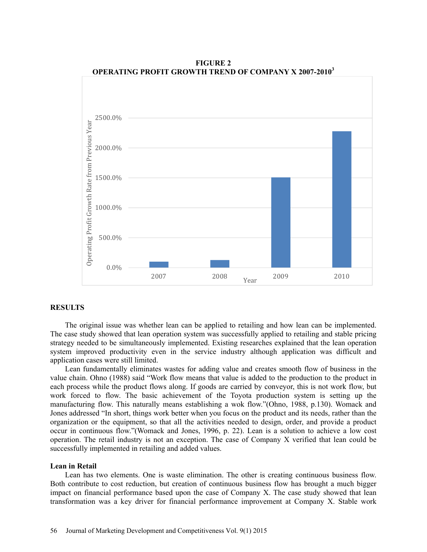

**FIGURE 2 OPERATING PROFIT GROWTH TREND OF COMPANY X 2007-2010<sup>3</sup>**

#### **RESULTS**

The original issue was whether lean can be applied to retailing and how lean can be implemented. The case study showed that lean operation system was successfully applied to retailing and stable pricing strategy needed to be simultaneously implemented. Existing researches explained that the lean operation system improved productivity even in the service industry although application was difficult and application cases were still limited.

Lean fundamentally eliminates wastes for adding value and creates smooth flow of business in the value chain. Ohno (1988) said "Work flow means that value is added to the production to the product in each process while the product flows along. If goods are carried by conveyor, this is not work flow, but work forced to flow. The basic achievement of the Toyota production system is setting up the manufacturing flow. This naturally means establishing a wok flow."(Ohno, 1988, p.130). Womack and Jones addressed "In short, things work better when you focus on the product and its needs, rather than the organization or the equipment, so that all the activities needed to design, order, and provide a product occur in continuous flow."(Womack and Jones, 1996, p. 22). Lean is a solution to achieve a low cost operation. The retail industry is not an exception. The case of Company X verified that lean could be successfully implemented in retailing and added values.

### **Lean in Retail**

Lean has two elements. One is waste elimination. The other is creating continuous business flow. Both contribute to cost reduction, but creation of continuous business flow has brought a much bigger impact on financial performance based upon the case of Company X. The case study showed that lean transformation was a key driver for financial performance improvement at Company X. Stable work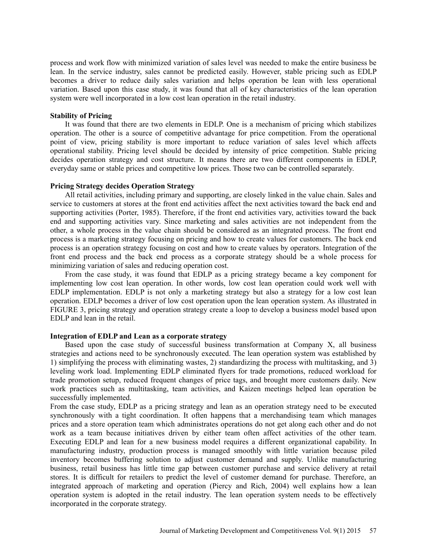process and work flow with minimized variation of sales level was needed to make the entire business be lean. In the service industry, sales cannot be predicted easily. However, stable pricing such as EDLP becomes a driver to reduce daily sales variation and helps operation be lean with less operational variation. Based upon this case study, it was found that all of key characteristics of the lean operation system were well incorporated in a low cost lean operation in the retail industry.

#### **Stability of Pricing**

It was found that there are two elements in EDLP. One is a mechanism of pricing which stabilizes operation. The other is a source of competitive advantage for price competition. From the operational point of view, pricing stability is more important to reduce variation of sales level which affects operational stability. Pricing level should be decided by intensity of price competition. Stable pricing decides operation strategy and cost structure. It means there are two different components in EDLP, everyday same or stable prices and competitive low prices. Those two can be controlled separately.

#### **Pricing Strategy decides Operation Strategy**

All retail activities, including primary and supporting, are closely linked in the value chain. Sales and service to customers at stores at the front end activities affect the next activities toward the back end and supporting activities (Porter, 1985). Therefore, if the front end activities vary, activities toward the back end and supporting activities vary. Since marketing and sales activities are not independent from the other, a whole process in the value chain should be considered as an integrated process. The front end process is a marketing strategy focusing on pricing and how to create values for customers. The back end process is an operation strategy focusing on cost and how to create values by operators. Integration of the front end process and the back end process as a corporate strategy should be a whole process for minimizing variation of sales and reducing operation cost.

From the case study, it was found that EDLP as a pricing strategy became a key component for implementing low cost lean operation. In other words, low cost lean operation could work well with EDLP implementation. EDLP is not only a marketing strategy but also a strategy for a low cost lean operation. EDLP becomes a driver of low cost operation upon the lean operation system. As illustrated in FIGURE 3, pricing strategy and operation strategy create a loop to develop a business model based upon EDLP and lean in the retail.

## **Integration of EDLP and Lean as a corporate strategy**

Based upon the case study of successful business transformation at Company X, all business strategies and actions need to be synchronously executed. The lean operation system was established by 1) simplifying the process with eliminating wastes, 2) standardizing the process with multitasking, and 3) leveling work load. Implementing EDLP eliminated flyers for trade promotions, reduced workload for trade promotion setup, reduced frequent changes of price tags, and brought more customers daily. New work practices such as multitasking, team activities, and Kaizen meetings helped lean operation be successfully implemented.

From the case study, EDLP as a pricing strategy and lean as an operation strategy need to be executed synchronously with a tight coordination. It often happens that a merchandising team which manages prices and a store operation team which administrates operations do not get along each other and do not work as a team because initiatives driven by either team often affect activities of the other team. Executing EDLP and lean for a new business model requires a different organizational capability. In manufacturing industry, production process is managed smoothly with little variation because piled inventory becomes buffering solution to adjust customer demand and supply. Unlike manufacturing business, retail business has little time gap between customer purchase and service delivery at retail stores. It is difficult for retailers to predict the level of customer demand for purchase. Therefore, an integrated approach of marketing and operation (Piercy and Rich, 2004) well explains how a lean operation system is adopted in the retail industry. The lean operation system needs to be effectively incorporated in the corporate strategy.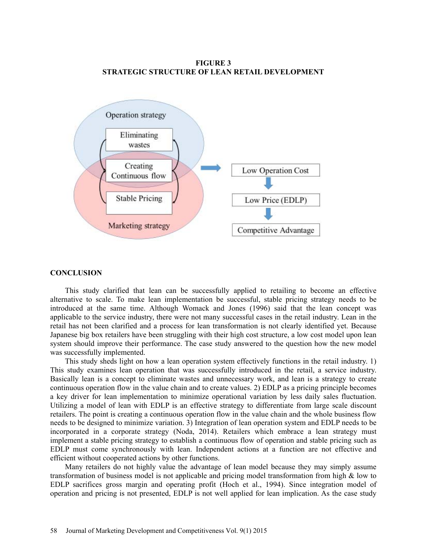**FIGURE 3 STRATEGIC STRUCTURE OF LEAN RETAIL DEVELOPMENT** 



#### **CONCLUSION**

This study clarified that lean can be successfully applied to retailing to become an effective alternative to scale. To make lean implementation be successful, stable pricing strategy needs to be introduced at the same time. Although Womack and Jones (1996) said that the lean concept was applicable to the service industry, there were not many successful cases in the retail industry. Lean in the retail has not been clarified and a process for lean transformation is not clearly identified yet. Because Japanese big box retailers have been struggling with their high cost structure, a low cost model upon lean system should improve their performance. The case study answered to the question how the new model was successfully implemented.

This study sheds light on how a lean operation system effectively functions in the retail industry. 1) This study examines lean operation that was successfully introduced in the retail, a service industry. Basically lean is a concept to eliminate wastes and unnecessary work, and lean is a strategy to create continuous operation flow in the value chain and to create values. 2) EDLP as a pricing principle becomes a key driver for lean implementation to minimize operational variation by less daily sales fluctuation. Utilizing a model of lean with EDLP is an effective strategy to differentiate from large scale discount retailers. The point is creating a continuous operation flow in the value chain and the whole business flow needs to be designed to minimize variation. 3) Integration of lean operation system and EDLP needs to be incorporated in a corporate strategy (Noda, 2014). Retailers which embrace a lean strategy must implement a stable pricing strategy to establish a continuous flow of operation and stable pricing such as EDLP must come synchronously with lean. Independent actions at a function are not effective and efficient without cooperated actions by other functions.

Many retailers do not highly value the advantage of lean model because they may simply assume transformation of business model is not applicable and pricing model transformation from high & low to EDLP sacrifices gross margin and operating profit (Hoch et al., 1994). Since integration model of operation and pricing is not presented, EDLP is not well applied for lean implication. As the case study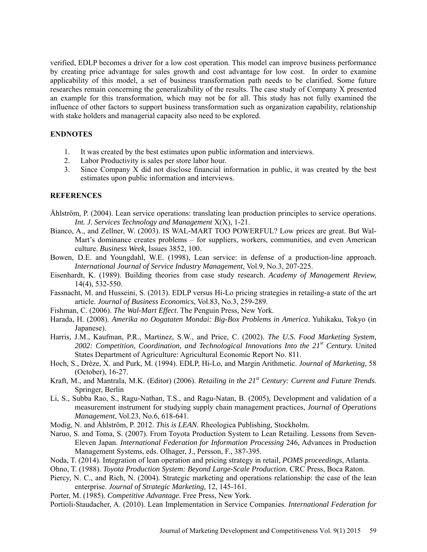verified, EDLP becomes a driver for a low cost operation. This model can improve business performance by creating price advantage for sales growth and cost advantage for low cost. In order to examine applicability of this model, a set of business transformation path needs to be clarified. Some future researches remain concerning the generalizability of the results. The case study of Company X presented an example for this transformation, which may not be for all. This study has not fully examined the influence of other factors to support business transformation such as organization capability, relationship with stake holders and managerial capacity also need to be explored.

## **ENDNOTES**

- 1. It was created by the best estimates upon public information and interviews.
- 2. Labor Productivity is sales per store labor hour.
- 3. Since Company X did not disclose financial information in public, it was created by the best estimates upon public information and interviews.

## **REFERENCES**

- Åhlström, P. (2004). Lean service operations: translating lean production principles to service operations. *Int. J. Services Technology and Management* X(X), 1-21.
- Bianco, A., and Zellner, W. (2003). IS WAL-MART TOO POWERFUL? Low prices are great. But Wal-Mart's dominance creates problems – for suppliers, workers, communities, and even American culture. *Business Week,* Issues 3852, 100.
- Bowen, D.E. and Youngdahl, W.E. (1998), Lean service: in defense of a production-line approach. *International Journal of Service Industry Management*, Vol.9, No.3, 207-225.
- Eisenhardt, K. (1989). Building theories from case study research. *Academy of Management Review,* 14(4), 532-550.
- Fassnacht, M. and Husseini, S. (2013). EDLP versus Hi-Lo pricing strategies in retailing-a state of the art article. *Journal of Business Economics*, Vol.83, No.3, 259-289.
- Fishman, C. (2006). *The Wal-Mart Effect*. The Penguin Press, New York.
- Harada, H. (2008). *Amerika no Oogataten Mondai: Big-Box Problems in America*. Yuhikaku, Tokyo (in Japanese).
- Harris, J.M., Kaufman, P.R., Martinez, S.W., and Price, C. (2002). *The U.S. Food Marketing System, 2002: Competition, Coordination, and Technological Innovations Into the 21st Century.* United States Department of Agriculture: Agricultural Economic Report No. 811.
- Hoch, S., Drèze, X. and Purk, M. (1994). EDLP, Hi-Lo, and Margin Arithmetic. *Journal of Marketing,* 58 (October), 16-27.
- Kraft, M., and Mantrala, M.K. (Editor) (2006). *Retailing in the 21st Century: Current and Future Trends.* Springer, Berlin
- Li, S., Subba Rao, S., Ragu-Nathan, T.S., and Ragu-Natan, B. (2005), Development and validation of a measurement instrument for studying supply chain management practices, *Journal of Operations Management*, Vol.23, No.6, 618-641.
- Modig, N. and Åhlström, P. 2012. *This is LEAN.* Rheologica Publishing, Stockholm*.*
- Naruo, S. and Toma, S. (2007). From Toyota Production System to Lean Retailing. Lessons from Seven-Eleven Japan. *International Federation for Information Processing* 246, Advances in Production Management Systems, eds. Olhager, J., Persson, F., 387-395.
- Noda, T. (2014). Integration of lean operation and pricing strategy in retail, *POMS proceedings*, Atlanta.
- Ohno, T. (1988). *Toyota Production System: Beyond Large-Scale Production*. CRC Press, Boca Raton.
- Piercy, N. C., and Rich, N. (2004). Strategic marketing and operations relationship: the case of the lean enterprise. *Journal of Strategic Marketing,* 12, 145-161.
- Porter, M. (1985). *Competitive Advantage.* Free Press, New York.
- Portioli-Staudacher, A. (2010). Lean Implementation in Service Companies. *International Federation for*